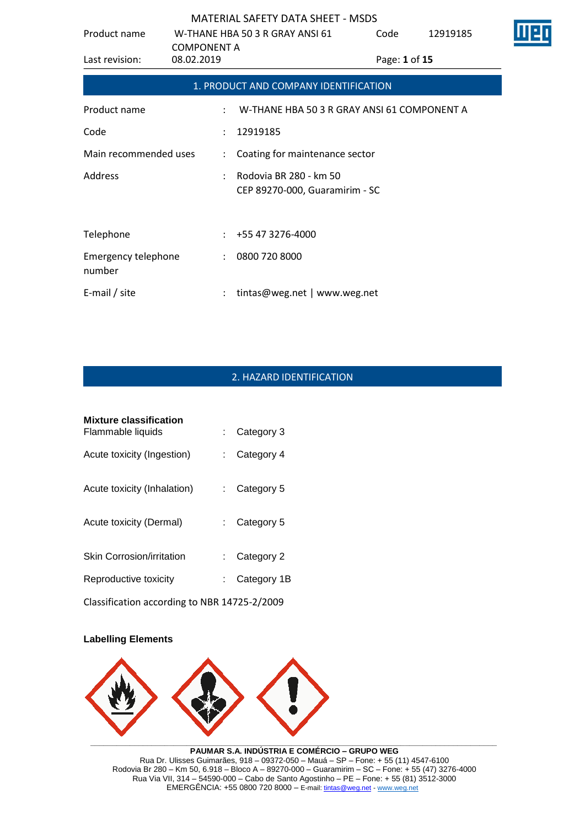| Product name                         |                                  | W-THANE HBA 50 3 R GRAY ANSI 61                          | Code          | 12919185 |  |
|--------------------------------------|----------------------------------|----------------------------------------------------------|---------------|----------|--|
| Last revision:                       | <b>COMPONENT A</b><br>08.02.2019 |                                                          | Page: 1 of 15 |          |  |
|                                      |                                  | 1. PRODUCT AND COMPANY IDENTIFICATION                    |               |          |  |
| Product name                         | $\ddot{\cdot}$                   | W-THANE HBA 50 3 R GRAY ANSI 61 COMPONENT A              |               |          |  |
| Code                                 | $\ddot{\phantom{a}}$             | 12919185                                                 |               |          |  |
| Main recommended uses                | $\ddot{\phantom{a}}$             | Coating for maintenance sector                           |               |          |  |
| Address                              |                                  | Rodovia BR 280 - km 50<br>CEP 89270-000, Guaramirim - SC |               |          |  |
|                                      |                                  |                                                          |               |          |  |
| Telephone                            | ÷                                | +55 47 3276-4000                                         |               |          |  |
| <b>Emergency telephone</b><br>number | $\ddot{\phantom{a}}$             | 0800 720 8000                                            |               |          |  |
| E-mail / site                        |                                  | tintas@weg.net   www.weg.net                             |               |          |  |

# 2. HAZARD IDENTIFICATION

| <b>Mixture classification</b><br>Flammable liquids |    | Category 3              |
|----------------------------------------------------|----|-------------------------|
| Acute toxicity (Ingestion)                         |    | Category 4              |
| Acute toxicity (Inhalation)                        |    | $\therefore$ Category 5 |
| Acute toxicity (Dermal)                            |    | $\therefore$ Category 5 |
| <b>Skin Corrosion/irritation</b>                   | t. | Category 2              |
| Reproductive toxicity                              |    | Category 1B             |
|                                                    |    |                         |

Classification according to NBR 14725-2/2009

### **Labelling Elements**



**PAUMAR S.A. INDÚSTRIA E COMÉRCIO – GRUPO WEG** Rua Dr. Ulisses Guimarães, 918 – 09372-050 – Mauá – SP – Fone: + 55 (11) 4547-6100 Rodovia Br 280 – Km 50, 6.918 – Bloco A – 89270-000 – Guaramirim – SC – Fone: + 55 (47) 3276-4000 Rua Via VII, 314 – 54590-000 – Cabo de Santo Agostinho – PE – Fone: + 55 (81) 3512-3000 EMERGËNCIA: +55 0800 720 8000 – E-mail[: tintas@weg.net](mailto:tintas@weg.net) - [www.weg.net](http://www.weg.net/)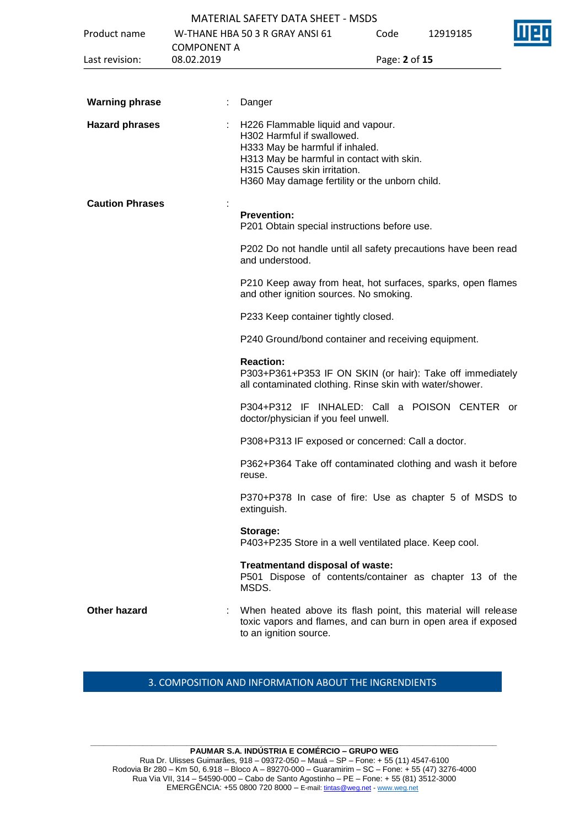|                        |                    | <b>MATERIAL SAFETY DATA SHEET - MSDS</b>                                                                                                                                                                                          |               |          |  |
|------------------------|--------------------|-----------------------------------------------------------------------------------------------------------------------------------------------------------------------------------------------------------------------------------|---------------|----------|--|
| Product name           |                    | W-THANE HBA 50 3 R GRAY ANSI 61                                                                                                                                                                                                   | Code          | 12919185 |  |
|                        | <b>COMPONENT A</b> |                                                                                                                                                                                                                                   |               |          |  |
| Last revision:         | 08.02.2019         |                                                                                                                                                                                                                                   | Page: 2 of 15 |          |  |
|                        |                    |                                                                                                                                                                                                                                   |               |          |  |
| <b>Warning phrase</b>  |                    | Danger                                                                                                                                                                                                                            |               |          |  |
| <b>Hazard phrases</b>  |                    | H226 Flammable liquid and vapour.<br>H302 Harmful if swallowed.<br>H333 May be harmful if inhaled.<br>H313 May be harmful in contact with skin.<br>H315 Causes skin irritation.<br>H360 May damage fertility or the unborn child. |               |          |  |
| <b>Caution Phrases</b> |                    | <b>Prevention:</b><br>P201 Obtain special instructions before use.                                                                                                                                                                |               |          |  |
|                        |                    | P202 Do not handle until all safety precautions have been read<br>and understood.                                                                                                                                                 |               |          |  |
|                        |                    | P210 Keep away from heat, hot surfaces, sparks, open flames<br>and other ignition sources. No smoking.                                                                                                                            |               |          |  |
|                        |                    | P233 Keep container tightly closed.                                                                                                                                                                                               |               |          |  |
|                        |                    | P240 Ground/bond container and receiving equipment.                                                                                                                                                                               |               |          |  |
|                        |                    | <b>Reaction:</b><br>P303+P361+P353 IF ON SKIN (or hair): Take off immediately<br>all contaminated clothing. Rinse skin with water/shower.                                                                                         |               |          |  |
|                        |                    | P304+P312 IF INHALED: Call a POISON CENTER or<br>doctor/physician if you feel unwell.                                                                                                                                             |               |          |  |
|                        |                    | P308+P313 IF exposed or concerned: Call a doctor.                                                                                                                                                                                 |               |          |  |
|                        |                    | P362+P364 Take off contaminated clothing and wash it before<br>reuse.                                                                                                                                                             |               |          |  |
|                        |                    | P370+P378 In case of fire: Use as chapter 5 of MSDS to<br>extinguish.                                                                                                                                                             |               |          |  |
|                        |                    | Storage:<br>P403+P235 Store in a well ventilated place. Keep cool.                                                                                                                                                                |               |          |  |
|                        |                    | Treatmentand disposal of waste:<br>P501 Dispose of contents/container as chapter 13 of the<br>MSDS.                                                                                                                               |               |          |  |
| <b>Other hazard</b>    |                    | When heated above its flash point, this material will release<br>toxic vapors and flames, and can burn in open area if exposed<br>to an ignition source.                                                                          |               |          |  |
|                        |                    |                                                                                                                                                                                                                                   |               |          |  |

# 3. COMPOSITION AND INFORMATION ABOUT THE INGRENDIENTS

**\_\_\_\_\_\_\_\_\_\_\_\_\_\_\_\_\_\_\_\_\_\_\_\_\_\_\_\_\_\_\_\_\_\_\_\_\_\_\_\_\_\_\_\_\_\_\_\_\_\_\_\_\_\_\_\_\_\_\_\_\_\_\_\_\_\_\_\_\_\_\_\_\_\_\_\_\_\_\_\_\_\_\_\_\_\_\_\_\_\_\_\_\_ PAUMAR S.A. INDÚSTRIA E COMÉRCIO – GRUPO WEG** Rua Dr. Ulisses Guimarães, 918 – 09372-050 – Mauá – SP – Fone: + 55 (11) 4547-6100 Rodovia Br 280 – Km 50, 6.918 – Bloco A – 89270-000 – Guaramirim – SC – Fone: + 55 (47) 3276-4000 Rua Via VII, 314 – 54590-000 – Cabo de Santo Agostinho – PE – Fone: + 55 (81) 3512-3000 EMERGËNCIA: +55 0800 720 8000 – E-mail[: tintas@weg.net](mailto:tintas@weg.net) - [www.weg.net](http://www.weg.net/)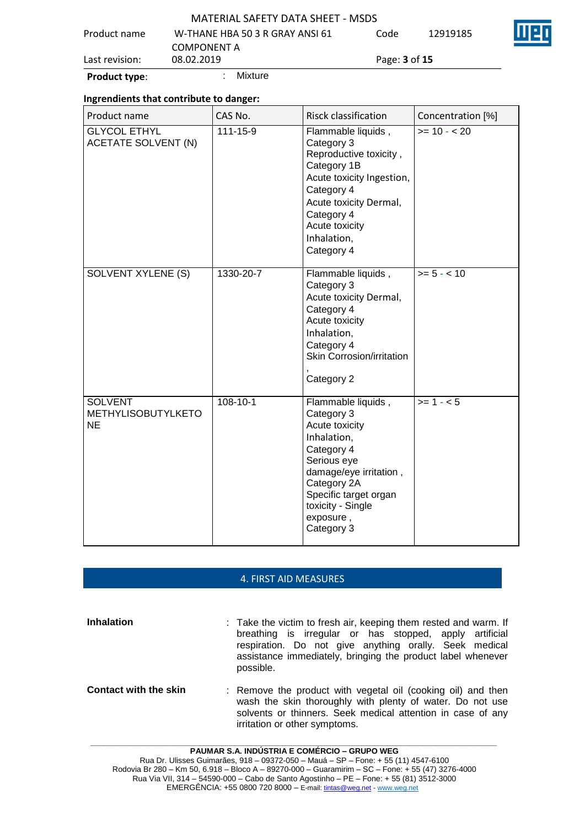| <b>Product type:</b> | Mixture                                               |                             |          |    |
|----------------------|-------------------------------------------------------|-----------------------------|----------|----|
| Last revision:       | 08.02.2019                                            | Page: <b>3</b> of <b>15</b> |          |    |
| Product name         | W-THANE HBA 50 3 R GRAY ANSI 61<br><b>COMPONENT A</b> | Code                        | 12919185 |    |
|                      | <b>MATERIAL SAFETY DATA SHEET - MSDS</b>              |                             |          | TE |

### **Ingrendients that contribute to danger:**

| Product name                                             | CAS No.        | Risck classification                                                                                                                                                                                             | Concentration [%] |
|----------------------------------------------------------|----------------|------------------------------------------------------------------------------------------------------------------------------------------------------------------------------------------------------------------|-------------------|
| <b>GLYCOL ETHYL</b><br><b>ACETATE SOLVENT (N)</b>        | 111-15-9       | Flammable liquids,<br>Category 3<br>Reproductive toxicity,<br>Category 1B<br>Acute toxicity Ingestion,<br>Category 4<br>Acute toxicity Dermal,<br>Category 4<br>Acute toxicity<br>Inhalation,<br>Category 4      | $>= 10 - 20$      |
| SOLVENT XYLENE (S)                                       | 1330-20-7      | Flammable liquids,<br>Category 3<br>Acute toxicity Dermal,<br>Category 4<br>Acute toxicity<br>Inhalation,<br>Category 4<br>Skin Corrosion/irritation<br>Category 2                                               | $>= 5 - < 10$     |
| <b>SOLVENT</b><br><b>METHYLISOBUTYLKETO</b><br><b>NE</b> | $108 - 10 - 1$ | Flammable liquids,<br>Category 3<br>Acute toxicity<br>Inhalation,<br>Category 4<br>Serious eye<br>damage/eye irritation,<br>Category 2A<br>Specific target organ<br>toxicity - Single<br>exposure,<br>Category 3 | $>= 1 - 5$        |

## 4. FIRST AID MEASURES

**Inhalation** : Take the victim to fresh air, keeping them rested and warm. If breathing is irregular or has stopped, apply artificial respiration. Do not give anything orally. Seek medical assistance immediately, bringing the product label whenever possible.

**Contact with the skin** : Remove the product with vegetal oil (cooking oil) and then wash the skin thoroughly with plenty of water. Do not use solvents or thinners. Seek medical attention in case of any irritation or other symptoms.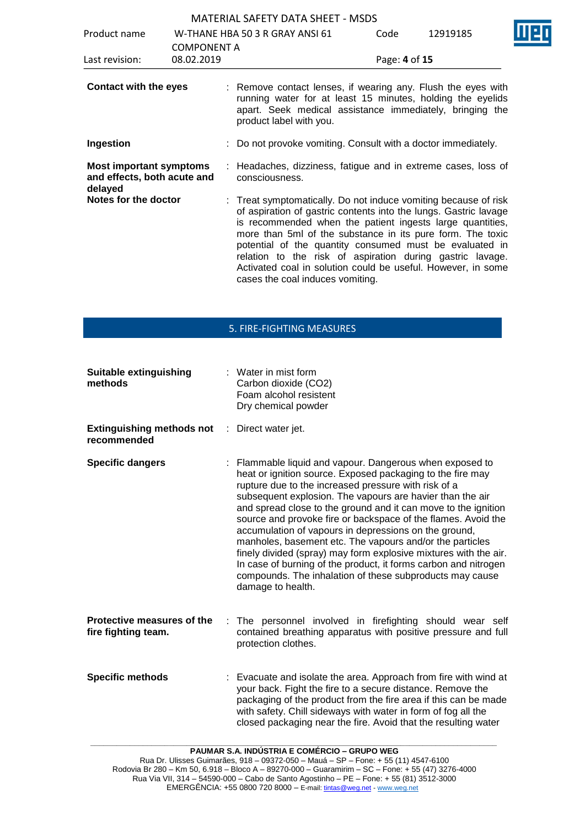| Product name                                                             | <b>COMPONENT A</b> | W-THANE HBA 50 3 R GRAY ANSI 61                                                                                                                                                                                                                                                                                                                                                                                                                                                            | Code          | 12919185 |  |
|--------------------------------------------------------------------------|--------------------|--------------------------------------------------------------------------------------------------------------------------------------------------------------------------------------------------------------------------------------------------------------------------------------------------------------------------------------------------------------------------------------------------------------------------------------------------------------------------------------------|---------------|----------|--|
| Last revision:                                                           | 08.02.2019         |                                                                                                                                                                                                                                                                                                                                                                                                                                                                                            | Page: 4 of 15 |          |  |
| <b>Contact with the eyes</b>                                             |                    | : Remove contact lenses, if wearing any. Flush the eyes with<br>running water for at least 15 minutes, holding the eyelids<br>apart. Seek medical assistance immediately, bringing the<br>product label with you.                                                                                                                                                                                                                                                                          |               |          |  |
| Ingestion                                                                |                    | : Do not provoke vomiting. Consult with a doctor immediately.                                                                                                                                                                                                                                                                                                                                                                                                                              |               |          |  |
| <b>Most important symptoms</b><br>and effects, both acute and<br>delayed |                    | : Headaches, dizziness, fatigue and in extreme cases, loss of<br>consciousness.                                                                                                                                                                                                                                                                                                                                                                                                            |               |          |  |
| Notes for the doctor                                                     |                    | : Treat symptomatically. Do not induce vomiting because of risk<br>of aspiration of gastric contents into the lungs. Gastric lavage<br>is recommended when the patient ingests large quantities,<br>more than 5ml of the substance in its pure form. The toxic<br>potential of the quantity consumed must be evaluated in<br>relation to the risk of aspiration during gastric lavage.<br>Activated coal in solution could be useful. However, in some<br>cases the coal induces vomiting. |               |          |  |

# 5. FIRE-FIGHTING MEASURES

| <b>Suitable extinguishing</b><br>methods          |    | : Water in mist form<br>Carbon dioxide (CO2)<br>Foam alcohol resistent<br>Dry chemical powder                                                                                                                                                                                                                                                                                                                                                                                                                                                                                                                                                                                                                               |
|---------------------------------------------------|----|-----------------------------------------------------------------------------------------------------------------------------------------------------------------------------------------------------------------------------------------------------------------------------------------------------------------------------------------------------------------------------------------------------------------------------------------------------------------------------------------------------------------------------------------------------------------------------------------------------------------------------------------------------------------------------------------------------------------------------|
| <b>Extinguishing methods not</b><br>recommended   | ÷. | Direct water jet.                                                                                                                                                                                                                                                                                                                                                                                                                                                                                                                                                                                                                                                                                                           |
| <b>Specific dangers</b>                           |    | : Flammable liquid and vapour. Dangerous when exposed to<br>heat or ignition source. Exposed packaging to the fire may<br>rupture due to the increased pressure with risk of a<br>subsequent explosion. The vapours are havier than the air<br>and spread close to the ground and it can move to the ignition<br>source and provoke fire or backspace of the flames. Avoid the<br>accumulation of vapours in depressions on the ground,<br>manholes, basement etc. The vapours and/or the particles<br>finely divided (spray) may form explosive mixtures with the air.<br>In case of burning of the product, it forms carbon and nitrogen<br>compounds. The inhalation of these subproducts may cause<br>damage to health. |
| Protective measures of the<br>fire fighting team. |    | : The personnel involved in firefighting should wear self<br>contained breathing apparatus with positive pressure and full<br>protection clothes.                                                                                                                                                                                                                                                                                                                                                                                                                                                                                                                                                                           |
| <b>Specific methods</b>                           |    | : Evacuate and isolate the area. Approach from fire with wind at<br>your back. Fight the fire to a secure distance. Remove the<br>packaging of the product from the fire area if this can be made<br>with safety. Chill sideways with water in form of fog all the<br>closed packaging near the fire. Avoid that the resulting water                                                                                                                                                                                                                                                                                                                                                                                        |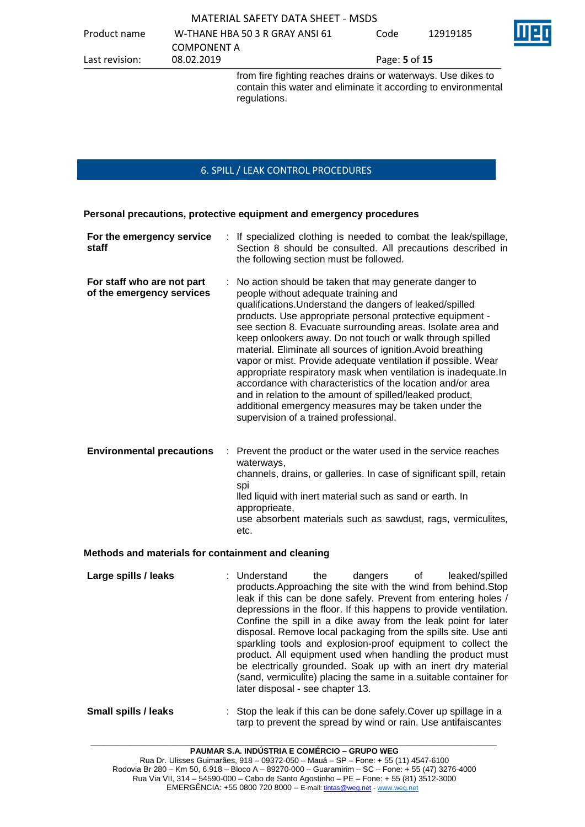|                |                    | from fire fighting reaches drains or waterways. Use dikes to<br>contain this water and eliminate it according to environmental |               |          |   |
|----------------|--------------------|--------------------------------------------------------------------------------------------------------------------------------|---------------|----------|---|
| Last revision: | 08.02.2019         |                                                                                                                                | Page: 5 of 15 |          |   |
|                | <b>COMPONENT A</b> |                                                                                                                                |               |          |   |
| Product name   |                    | W-THANE HBA 50 3 R GRAY ANSI 61                                                                                                | Code          | 12919185 | T |

## 6. SPILL / LEAK CONTROL PROCEDURES

**Personal precautions, protective equipment and emergency procedures**

regulations.

| For the emergency service<br>staff                      | : If specialized clothing is needed to combat the leak/spillage,<br>Section 8 should be consulted. All precautions described in<br>the following section must be followed.                                                                                                                                                                                                                                                                                                                                                                                                                                                                                                                                                                                                            |
|---------------------------------------------------------|---------------------------------------------------------------------------------------------------------------------------------------------------------------------------------------------------------------------------------------------------------------------------------------------------------------------------------------------------------------------------------------------------------------------------------------------------------------------------------------------------------------------------------------------------------------------------------------------------------------------------------------------------------------------------------------------------------------------------------------------------------------------------------------|
| For staff who are not part<br>of the emergency services | : No action should be taken that may generate danger to<br>people without adequate training and<br>qualifications. Understand the dangers of leaked/spilled<br>products. Use appropriate personal protective equipment -<br>see section 8. Evacuate surrounding areas. Isolate area and<br>keep onlookers away. Do not touch or walk through spilled<br>material. Eliminate all sources of ignition. Avoid breathing<br>vapor or mist. Provide adequate ventilation if possible. Wear<br>appropriate respiratory mask when ventilation is inadequate. In<br>accordance with characteristics of the location and/or area<br>and in relation to the amount of spilled/leaked product,<br>additional emergency measures may be taken under the<br>supervision of a trained professional. |
| <b>Environmental precautions</b>                        | : Prevent the product or the water used in the service reaches<br>waterways,<br>channels, drains, or galleries. In case of significant spill, retain<br>spi<br>lled liquid with inert material such as sand or earth. In<br>approprieate,                                                                                                                                                                                                                                                                                                                                                                                                                                                                                                                                             |

use absorbent materials such as sawdust, rags, vermiculites, etc.

### **Methods and materials for containment and cleaning**

- **Large spills / leaks** : Understand the dangers of leaked/spilled products.Approaching the site with the wind from behind.Stop leak if this can be done safely. Prevent from entering holes / depressions in the floor. If this happens to provide ventilation. Confine the spill in a dike away from the leak point for later disposal. Remove local packaging from the spills site. Use anti sparkling tools and explosion-proof equipment to collect the product. All equipment used when handling the product must be electrically grounded. Soak up with an inert dry material (sand, vermiculite) placing the same in a suitable container for later disposal - see chapter 13.
- **Small spills / leaks** : Stop the leak if this can be done safely. Cover up spillage in a tarp to prevent the spread by wind or rain. Use antifaiscantes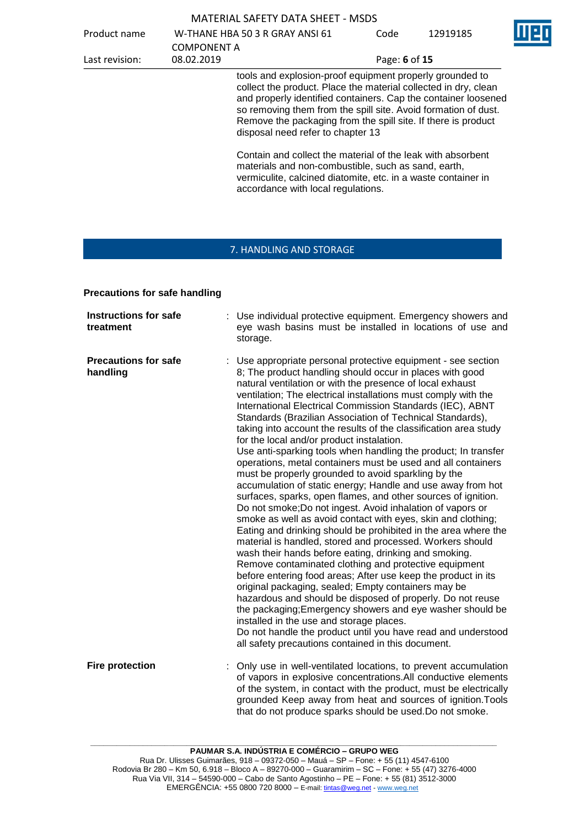| <b>MATERIAL SAFETY DATA SHEET - MSDS</b> |  |  |
|------------------------------------------|--|--|
|------------------------------------------|--|--|

Product name W-THANE HBA 50 3 R GRAY ANSI 61 COMPONENT A<br>08.02.2019

Last revision: 08.02.2019 Page: **6** of **15**

Code 12919185

tools and explosion-proof equipment properly grounded to collect the product. Place the material collected in dry, clean and properly identified containers. Cap the container loosened so removing them from the spill site. Avoid formation of dust. Remove the packaging from the spill site. If there is product disposal need refer to chapter 13

Contain and collect the material of the leak with absorbent materials and non-combustible, such as sand, earth, vermiculite, calcined diatomite, etc. in a waste container in accordance with local regulations.

# 7. HANDLING AND STORAGE

### **Precautions for safe handling**

| <b>Instructions for safe</b><br>treatment | Use individual protective equipment. Emergency showers and<br>eye wash basins must be installed in locations of use and<br>storage.                                                                                                                                                                                                                                                                                                                                                                                                                                                                                                                                                                                                                                                                                                                                                                                                                                                                                                                                                                                                                                                                                                                                                                                                                                                                                                                                                                                                                                                                                            |
|-------------------------------------------|--------------------------------------------------------------------------------------------------------------------------------------------------------------------------------------------------------------------------------------------------------------------------------------------------------------------------------------------------------------------------------------------------------------------------------------------------------------------------------------------------------------------------------------------------------------------------------------------------------------------------------------------------------------------------------------------------------------------------------------------------------------------------------------------------------------------------------------------------------------------------------------------------------------------------------------------------------------------------------------------------------------------------------------------------------------------------------------------------------------------------------------------------------------------------------------------------------------------------------------------------------------------------------------------------------------------------------------------------------------------------------------------------------------------------------------------------------------------------------------------------------------------------------------------------------------------------------------------------------------------------------|
| <b>Precautions for safe</b><br>handling   | Use appropriate personal protective equipment - see section<br>8; The product handling should occur in places with good<br>natural ventilation or with the presence of local exhaust<br>ventilation; The electrical installations must comply with the<br>International Electrical Commission Standards (IEC), ABNT<br>Standards (Brazilian Association of Technical Standards),<br>taking into account the results of the classification area study<br>for the local and/or product instalation.<br>Use anti-sparking tools when handling the product; In transfer<br>operations, metal containers must be used and all containers<br>must be properly grounded to avoid sparkling by the<br>accumulation of static energy; Handle and use away from hot<br>surfaces, sparks, open flames, and other sources of ignition.<br>Do not smoke; Do not ingest. Avoid inhalation of vapors or<br>smoke as well as avoid contact with eyes, skin and clothing;<br>Eating and drinking should be prohibited in the area where the<br>material is handled, stored and processed. Workers should<br>wash their hands before eating, drinking and smoking.<br>Remove contaminated clothing and protective equipment<br>before entering food areas; After use keep the product in its<br>original packaging, sealed; Empty containers may be<br>hazardous and should be disposed of properly. Do not reuse<br>the packaging; Emergency showers and eye washer should be<br>installed in the use and storage places.<br>Do not handle the product until you have read and understood<br>all safety precautions contained in this document. |
| <b>Fire protection</b>                    | Only use in well-ventilated locations, to prevent accumulation<br>of vapors in explosive concentrations.All conductive elements<br>of the system, in contact with the product, must be electrically<br>grounded Keep away from heat and sources of ignition. Tools<br>that do not produce sparks should be used. Do not smoke.                                                                                                                                                                                                                                                                                                                                                                                                                                                                                                                                                                                                                                                                                                                                                                                                                                                                                                                                                                                                                                                                                                                                                                                                                                                                                                 |

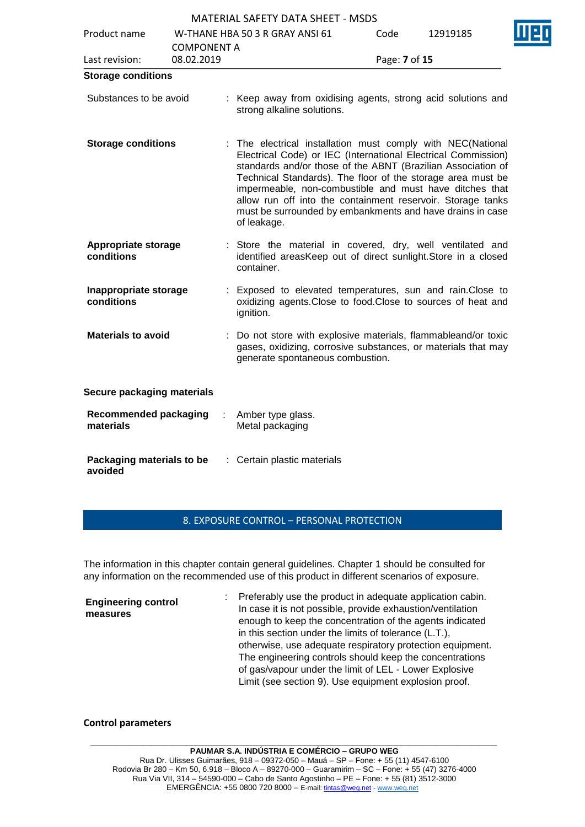| Product name                              | <b>COMPONENT A</b> | W-THANE HBA 50 3 R GRAY ANSI 61                                                                                                                                                                                                                                                                                                                                                                                                                                   | Code          | 12919185 |  |
|-------------------------------------------|--------------------|-------------------------------------------------------------------------------------------------------------------------------------------------------------------------------------------------------------------------------------------------------------------------------------------------------------------------------------------------------------------------------------------------------------------------------------------------------------------|---------------|----------|--|
| Last revision:                            | 08.02.2019         |                                                                                                                                                                                                                                                                                                                                                                                                                                                                   | Page: 7 of 15 |          |  |
| <b>Storage conditions</b>                 |                    |                                                                                                                                                                                                                                                                                                                                                                                                                                                                   |               |          |  |
| Substances to be avoid                    |                    | : Keep away from oxidising agents, strong acid solutions and<br>strong alkaline solutions.                                                                                                                                                                                                                                                                                                                                                                        |               |          |  |
| <b>Storage conditions</b>                 |                    | : The electrical installation must comply with NEC(National<br>Electrical Code) or IEC (International Electrical Commission)<br>standards and/or those of the ABNT (Brazilian Association of<br>Technical Standards). The floor of the storage area must be<br>impermeable, non-combustible and must have ditches that<br>allow run off into the containment reservoir. Storage tanks<br>must be surrounded by embankments and have drains in case<br>of leakage. |               |          |  |
| Appropriate storage<br>conditions         |                    | : Store the material in covered, dry, well ventilated and<br>identified areasKeep out of direct sunlight. Store in a closed<br>container.                                                                                                                                                                                                                                                                                                                         |               |          |  |
| Inappropriate storage<br>conditions       |                    | Exposed to elevated temperatures, sun and rain. Close to<br>oxidizing agents. Close to food. Close to sources of heat and<br>ignition.                                                                                                                                                                                                                                                                                                                            |               |          |  |
| <b>Materials to avoid</b>                 |                    | Do not store with explosive materials, flammableand/or toxic<br>gases, oxidizing, corrosive substances, or materials that may<br>generate spontaneous combustion.                                                                                                                                                                                                                                                                                                 |               |          |  |
| Secure packaging materials                |                    |                                                                                                                                                                                                                                                                                                                                                                                                                                                                   |               |          |  |
| <b>Recommended packaging</b><br>materials |                    | Amber type glass.<br>Metal packaging                                                                                                                                                                                                                                                                                                                                                                                                                              |               |          |  |
| Packaging materials to be<br>avoided      |                    | : Certain plastic materials                                                                                                                                                                                                                                                                                                                                                                                                                                       |               |          |  |

#### 8. EXPOSURE CONTROL – PERSONAL PROTECTION

The information in this chapter contain general guidelines. Chapter 1 should be consulted for any information on the recommended use of this product in different scenarios of exposure.

**Engineering control measures** : Preferably use the product in adequate application cabin. In case it is not possible, provide exhaustion/ventilation enough to keep the concentration of the agents indicated in this section under the limits of tolerance (L.T.), otherwise, use adequate respiratory protection equipment. The engineering controls should keep the concentrations of gas/vapour under the limit of LEL - Lower Explosive Limit (see section 9). Use equipment explosion proof.

#### **Control parameters**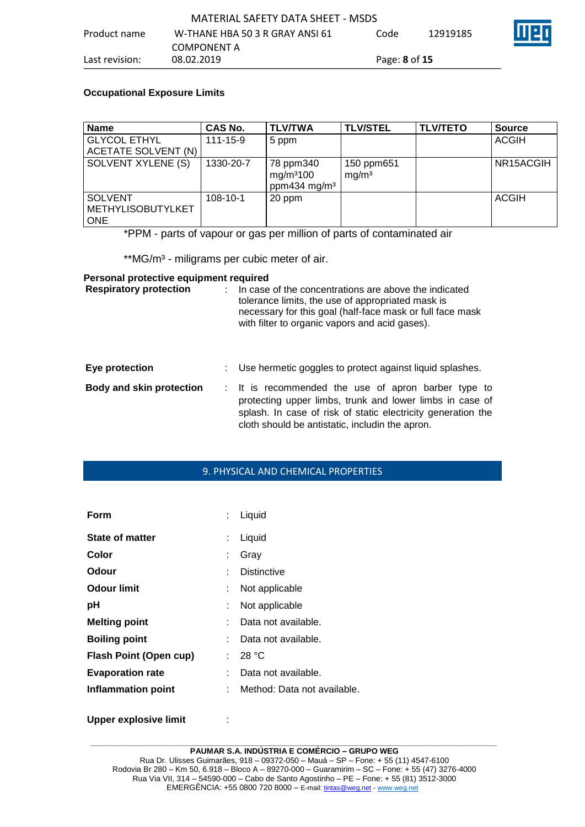## **Occupational Exposure Limits**

| <b>Name</b>                                              | CAS No.        | <b>TLV/TWA</b>                                                 | <b>TLV/STEL</b>                 | <b>TLV/TETO</b> | <b>Source</b> |
|----------------------------------------------------------|----------------|----------------------------------------------------------------|---------------------------------|-----------------|---------------|
| <b>GLYCOL ETHYL</b>                                      | $111 - 15 - 9$ | 5 ppm                                                          |                                 |                 | <b>ACGIH</b>  |
| ACETATE SOLVENT (N)                                      |                |                                                                |                                 |                 |               |
| SOLVENT XYLENE (S)                                       | 1330-20-7      | 78 ppm340<br>mg/m <sup>3</sup> 100<br>ppm434 mg/m <sup>3</sup> | 150 ppm651<br>mq/m <sup>3</sup> |                 | NR15ACGIH     |
| <b>SOLVENT</b><br><b>METHYLISOBUTYLKET</b><br><b>ONE</b> | $108 - 10 - 1$ | 20 ppm                                                         |                                 |                 | <b>ACGIH</b>  |

\*PPM - parts of vapour or gas per million of parts of contaminated air

\*\*MG/m<sup>3</sup> - miligrams per cubic meter of air.

## **Personal protective equipment required**

| <b>Respiratory protection</b> | In case of the concentrations are above the indicated<br>tolerance limits, the use of appropriated mask is<br>necessary for this goal (half-face mask or full face mask<br>with filter to organic vapors and acid gases).          |
|-------------------------------|------------------------------------------------------------------------------------------------------------------------------------------------------------------------------------------------------------------------------------|
| Eye protection                | Use hermetic goggles to protect against liquid splashes.                                                                                                                                                                           |
| Body and skin protection      | : It is recommended the use of apron barber type to<br>protecting upper limbs, trunk and lower limbs in case of<br>splash. In case of risk of static electricity generation the<br>cloth should be antistatic, includin the apron. |

# 9. PHYSICAL AND CHEMICAL PROPERTIES

| Form                          |    | Liquid                      |
|-------------------------------|----|-----------------------------|
| <b>State of matter</b>        | ÷  | Liquid                      |
| Color                         | ÷  | Gray                        |
| Odour                         |    | <b>Distinctive</b>          |
| Odour limit                   |    | Not applicable              |
| рH                            |    | Not applicable              |
| <b>Melting point</b>          |    | Data not available.         |
| <b>Boiling point</b>          |    | Data not available.         |
| <b>Flash Point (Open cup)</b> | t. | 28 °C                       |
| <b>Evaporation rate</b>       |    | Data not available.         |
| <b>Inflammation point</b>     |    | Method: Data not available. |
|                               |    |                             |

**Upper explosive limit : :** 

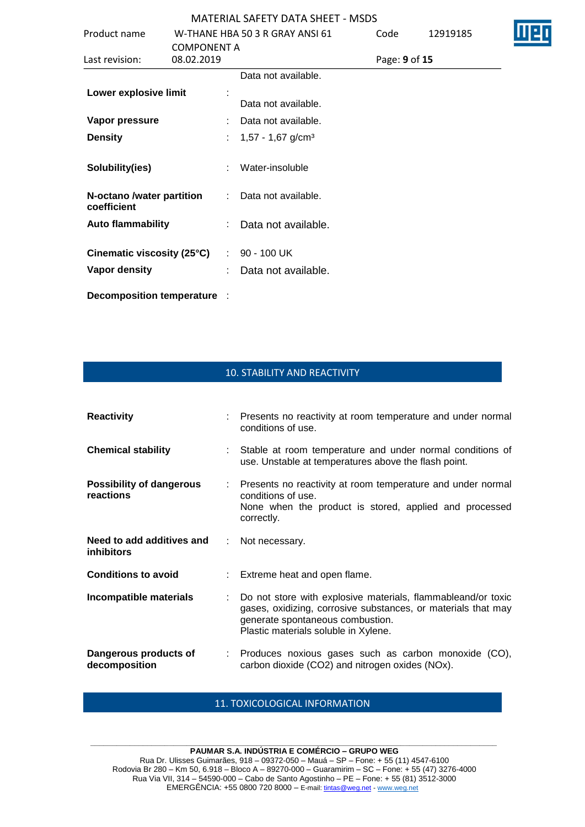| Product name                                       | W-THANE HBA 50 3 R GRAY ANSI 61 |    |                                 | Code          | 12919185 |
|----------------------------------------------------|---------------------------------|----|---------------------------------|---------------|----------|
| <b>COMPONENT A</b><br>08.02.2019<br>Last revision: |                                 |    |                                 | Page: 9 of 15 |          |
|                                                    |                                 |    | Data not available.             |               |          |
| Lower explosive limit                              |                                 |    |                                 |               |          |
|                                                    |                                 |    | Data not available.             |               |          |
| Vapor pressure                                     |                                 |    | Data not available.             |               |          |
| <b>Density</b>                                     |                                 | t. | $1,57 - 1,67$ g/cm <sup>3</sup> |               |          |
| Solubility(ies)                                    |                                 |    | Water-insoluble                 |               |          |
| N-octano /water partition<br>coefficient           |                                 | ÷. | Data not available.             |               |          |
| <b>Auto flammability</b>                           |                                 |    | Data not available.             |               |          |
| Cinematic viscosity (25°C)                         |                                 |    | $: 90 - 100$ UK                 |               |          |
| Vapor density                                      |                                 |    | Data not available.             |               |          |
| Decomposition temperature :                        |                                 |    |                                 |               |          |

D

# 10. STABILITY AND REACTIVITY

| <b>Reactivity</b>                              |    | : Presents no reactivity at room temperature and under normal<br>conditions of use.                                                                                                                       |
|------------------------------------------------|----|-----------------------------------------------------------------------------------------------------------------------------------------------------------------------------------------------------------|
| <b>Chemical stability</b>                      |    | : Stable at room temperature and under normal conditions of<br>use. Unstable at temperatures above the flash point.                                                                                       |
| <b>Possibility of dangerous</b><br>reactions   |    | : Presents no reactivity at room temperature and under normal<br>conditions of use.<br>None when the product is stored, applied and processed<br>correctly.                                               |
| Need to add additives and<br><b>inhibitors</b> |    | : Not necessary.                                                                                                                                                                                          |
| <b>Conditions to avoid</b>                     |    | : Extreme heat and open flame.                                                                                                                                                                            |
| Incompatible materials                         | t. | Do not store with explosive materials, flammableand/or toxic<br>gases, oxidizing, corrosive substances, or materials that may<br>generate spontaneous combustion.<br>Plastic materials soluble in Xylene. |
| Dangerous products of<br>decomposition         |    | : Produces noxious gases such as carbon monoxide (CO),<br>carbon dioxide (CO2) and nitrogen oxides (NOx).                                                                                                 |

## 11. TOXICOLOGICAL INFORMATION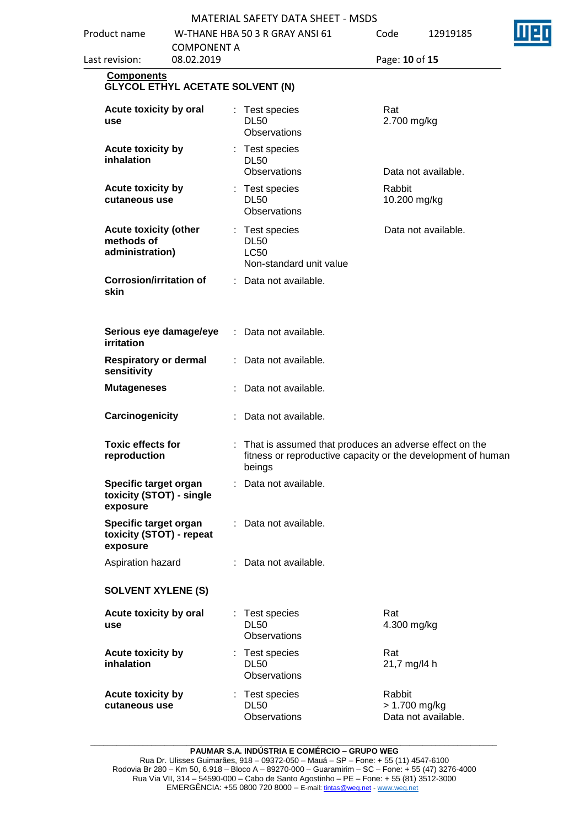| Product name                                                  | <b>MATERIAL SAFETY DATA SHEET - MSDS</b><br>W-THANE HBA 50 3 R GRAY ANSI 61<br><b>COMPONENT A</b><br>08.02.2019 |    |                                                                  |                        | 12919185            |  |
|---------------------------------------------------------------|-----------------------------------------------------------------------------------------------------------------|----|------------------------------------------------------------------|------------------------|---------------------|--|
| Last revision:                                                |                                                                                                                 |    |                                                                  |                        | Page: 10 of 15      |  |
| <b>Components</b><br><b>GLYCOL ETHYL ACETATE SOLVENT (N)</b>  |                                                                                                                 |    |                                                                  |                        |                     |  |
| Acute toxicity by oral<br>use                                 |                                                                                                                 |    | : Test species<br><b>DL50</b><br><b>Observations</b>             | Rat<br>2.700 mg/kg     |                     |  |
| Acute toxicity by<br>inhalation                               |                                                                                                                 |    | : Test species<br><b>DL50</b><br>Observations                    |                        | Data not available. |  |
| Acute toxicity by<br>cutaneous use                            |                                                                                                                 |    | : Test species<br><b>DL50</b><br>Observations                    | Rabbit<br>10.200 mg/kg |                     |  |
| <b>Acute toxicity (other</b><br>methods of<br>administration) |                                                                                                                 |    | : Test species<br><b>DL50</b><br>LC50<br>Non-standard unit value |                        | Data not available. |  |
| <b>Corrosion/irritation of</b><br>skin                        |                                                                                                                 |    | : Data not available.                                            |                        |                     |  |
| Serious eye damage/eye<br>irritation                          |                                                                                                                 | ÷. | Data not available.                                              |                        |                     |  |
| <b>Respiratory or dermal</b><br>sensitivity                   |                                                                                                                 | t. | Data not available.                                              |                        |                     |  |
| <b>Mutageneses</b>                                            |                                                                                                                 |    | Data not available.                                              |                        |                     |  |

| <b>Respiratory or dermal</b><br>: Data not available.<br>sensitivity<br>: Data not available.<br><b>Mutageneses</b><br>Carcinogenicity<br>Data not available.<br><b>Toxic effects for</b><br>: That is assumed that produces an adverse effect on the<br>fitness or reproductive capacity or the development of human<br>reproduction |
|---------------------------------------------------------------------------------------------------------------------------------------------------------------------------------------------------------------------------------------------------------------------------------------------------------------------------------------|
|                                                                                                                                                                                                                                                                                                                                       |
|                                                                                                                                                                                                                                                                                                                                       |
|                                                                                                                                                                                                                                                                                                                                       |
| beings                                                                                                                                                                                                                                                                                                                                |
| Specific target organ<br>: Data not available.<br>toxicity (STOT) - single<br>exposure                                                                                                                                                                                                                                                |
| Specific target organ<br>: Data not available.<br>toxicity (STOT) - repeat<br>exposure                                                                                                                                                                                                                                                |
| Aspiration hazard<br>: Data not available.                                                                                                                                                                                                                                                                                            |
| <b>SOLVENT XYLENE (S)</b>                                                                                                                                                                                                                                                                                                             |
| Acute toxicity by oral<br>Test species<br>Rat<br>÷<br><b>DL50</b><br>4.300 mg/kg<br>use<br>Observations                                                                                                                                                                                                                               |
| <b>Acute toxicity by</b><br>Rat<br>: Test species<br>inhalation<br><b>DL50</b><br>21,7 mg/l4 h<br><b>Observations</b>                                                                                                                                                                                                                 |
| <b>Acute toxicity by</b><br>Rabbit<br>: Test species<br><b>DL50</b><br>cutaneous use<br>$> 1.700$ mg/kg<br>Observations<br>Data not available.                                                                                                                                                                                        |

**\_\_\_\_\_\_\_\_\_\_\_\_\_\_\_\_\_\_\_\_\_\_\_\_\_\_\_\_\_\_\_\_\_\_\_\_\_\_\_\_\_\_\_\_\_\_\_\_\_\_\_\_\_\_\_\_\_\_\_\_\_\_\_\_\_\_\_\_\_\_\_\_\_\_\_\_\_\_\_\_\_\_\_\_\_\_\_\_\_\_\_\_\_ PAUMAR S.A. INDÚSTRIA E COMÉRCIO – GRUPO WEG**

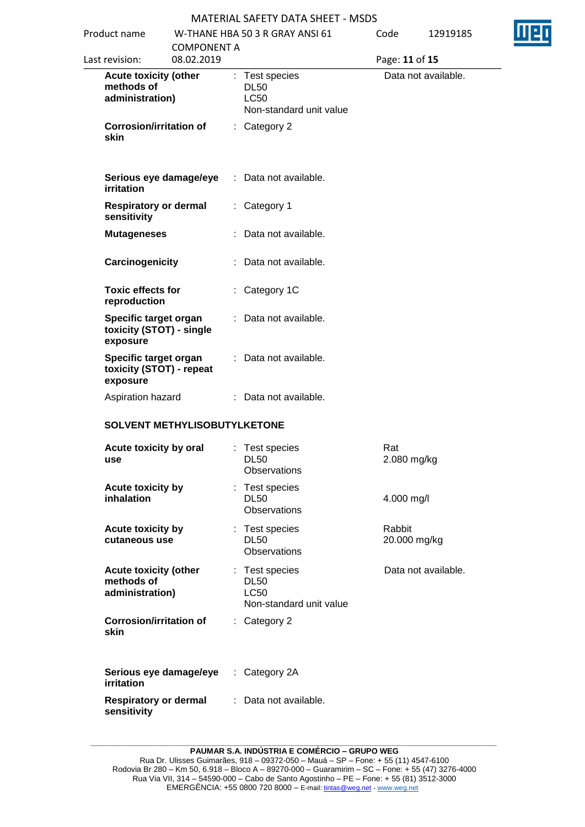| Product name<br><b>COMPONENT A</b> |                                                               |                                | W-THANE HBA 50 3 R GRAY ANSI 61                                         | Code                                                                    | 12919185               |                     |  |
|------------------------------------|---------------------------------------------------------------|--------------------------------|-------------------------------------------------------------------------|-------------------------------------------------------------------------|------------------------|---------------------|--|
|                                    | 08.02.2019<br>Last revision:                                  |                                |                                                                         |                                                                         | Page: 11 of 15         |                     |  |
|                                    | <b>Acute toxicity (other</b><br>methods of<br>administration) |                                | : Test species<br><b>DL50</b><br><b>LC50</b><br>Non-standard unit value |                                                                         | Data not available.    |                     |  |
| skin                               |                                                               | <b>Corrosion/irritation of</b> |                                                                         | : Category 2                                                            |                        |                     |  |
| <b>irritation</b>                  |                                                               | Serious eye damage/eye         |                                                                         | : Data not available.                                                   |                        |                     |  |
| sensitivity                        |                                                               | <b>Respiratory or dermal</b>   |                                                                         | : Category 1                                                            |                        |                     |  |
|                                    | <b>Mutageneses</b>                                            |                                |                                                                         | Data not available.                                                     |                        |                     |  |
|                                    | Carcinogenicity                                               |                                |                                                                         | : Data not available.                                                   |                        |                     |  |
|                                    | <b>Toxic effects for</b><br>reproduction                      |                                |                                                                         | : Category 1C                                                           |                        |                     |  |
| exposure                           | Specific target organ                                         | toxicity (STOT) - single       |                                                                         | : Data not available.                                                   |                        |                     |  |
| exposure                           | Specific target organ                                         | toxicity (STOT) - repeat       | ÷.                                                                      | Data not available.                                                     |                        |                     |  |
|                                    | Aspiration hazard                                             |                                |                                                                         | : Data not available.                                                   |                        |                     |  |
|                                    |                                                               | SOLVENT METHYLISOBUTYLKETONE   |                                                                         |                                                                         |                        |                     |  |
| use                                | Acute toxicity by oral                                        |                                |                                                                         | : Test species<br><b>DL50</b><br>Observations                           | Rat<br>2.080 mg/kg     |                     |  |
| inhalation                         | <b>Acute toxicity by</b>                                      |                                |                                                                         | Test species<br><b>DL50</b><br><b>Observations</b>                      | 4.000 mg/l             |                     |  |
|                                    | <b>Acute toxicity by</b><br>cutaneous use                     |                                |                                                                         | : Test species<br><b>DL50</b><br>Observations                           | Rabbit<br>20.000 mg/kg |                     |  |
|                                    | <b>Acute toxicity (other</b><br>methods of<br>administration) |                                |                                                                         | : Test species<br><b>DL50</b><br><b>LC50</b><br>Non-standard unit value |                        | Data not available. |  |
| skin                               |                                                               | <b>Corrosion/irritation of</b> |                                                                         | Category 2                                                              |                        |                     |  |
| irritation                         |                                                               | Serious eye damage/eye         | ÷.                                                                      | Category 2A                                                             |                        |                     |  |
| sensitivity                        |                                                               | <b>Respiratory or dermal</b>   | ۰.                                                                      | Data not available.                                                     |                        |                     |  |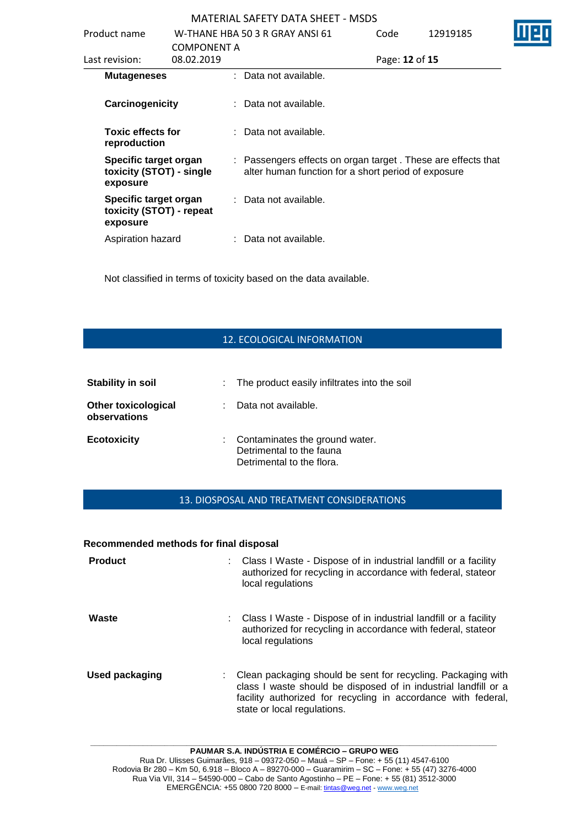| Product name                                                  |                                  | W-THANE HBA 50 3 R GRAY ANSI 61                                                                                     | Code           | 12919185 |
|---------------------------------------------------------------|----------------------------------|---------------------------------------------------------------------------------------------------------------------|----------------|----------|
| Last revision:                                                | <b>COMPONENT A</b><br>08.02.2019 |                                                                                                                     | Page: 12 of 15 |          |
| <b>Mutageneses</b>                                            |                                  | : Data not available.                                                                                               |                |          |
| Carcinogenicity                                               |                                  | : Data not available.                                                                                               |                |          |
| <b>Toxic effects for</b><br>reproduction                      |                                  | : Data not available.                                                                                               |                |          |
| Specific target organ<br>toxicity (STOT) - single<br>exposure |                                  | : Passengers effects on organ target. These are effects that<br>alter human function for a short period of exposure |                |          |
| Specific target organ<br>toxicity (STOT) - repeat<br>exposure |                                  | : Data not available.                                                                                               |                |          |
| Aspiration hazard                                             |                                  | : Data not available.                                                                                               |                |          |

Not classified in terms of toxicity based on the data available.

# 12. ECOLOGICAL INFORMATION

| <b>Stability in soil</b>                   |    | : The product easily infiltrates into the soil                                            |
|--------------------------------------------|----|-------------------------------------------------------------------------------------------|
| <b>Other toxicological</b><br>observations | t. | Data not available.                                                                       |
| <b>Ecotoxicity</b>                         |    | : Contaminates the ground water.<br>Detrimental to the fauna<br>Detrimental to the flora. |

# 13. DIOSPOSAL AND TREATMENT CONSIDERATIONS

#### **Recommended methods for final disposal**

| <b>Product</b>        | : Class I Waste - Dispose of in industrial landfill or a facility<br>authorized for recycling in accordance with federal, stateor<br>local regulations                                                                          |
|-----------------------|---------------------------------------------------------------------------------------------------------------------------------------------------------------------------------------------------------------------------------|
| Waste                 | : Class I Waste - Dispose of in industrial landfill or a facility<br>authorized for recycling in accordance with federal, stateor<br>local regulations                                                                          |
| <b>Used packaging</b> | Clean packaging should be sent for recycling. Packaging with<br>class I waste should be disposed of in industrial landfill or a<br>facility authorized for recycling in accordance with federal,<br>state or local regulations. |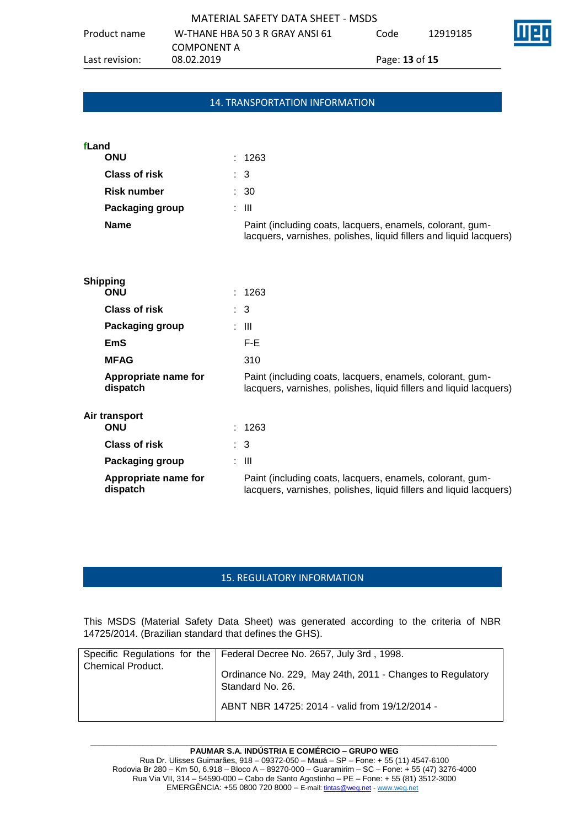| MATERIAL SAFETY DATA SHEET - MSDS |                                 |      |                              |  |  |  |  |  |  |  |
|-----------------------------------|---------------------------------|------|------------------------------|--|--|--|--|--|--|--|
| Product name                      | W-THANE HBA 50 3 R GRAY ANSI 61 | Code | 12919185                     |  |  |  |  |  |  |  |
|                                   | COMPONENT A                     |      |                              |  |  |  |  |  |  |  |
| Last revision:                    | 08.02.2019                      |      | Page: <b>13</b> of <b>15</b> |  |  |  |  |  |  |  |

# 14. TRANSPORTATION INFORMATION

| fLand                  |  |                                                                                                                                 |
|------------------------|--|---------------------------------------------------------------------------------------------------------------------------------|
| <b>ONU</b>             |  | : 1263                                                                                                                          |
| Class of risk          |  | $\therefore$ 3                                                                                                                  |
| <b>Risk number</b>     |  | : 30                                                                                                                            |
| <b>Packaging group</b> |  | : III                                                                                                                           |
| <b>Name</b>            |  | Paint (including coats, lacquers, enamels, colorant, gum-<br>lacquers, varnishes, polishes, liquid fillers and liquid lacquers) |
| <b>Shipping</b>        |  |                                                                                                                                 |

| <b>ONU</b>                       | : 1263                                                                                                                          |
|----------------------------------|---------------------------------------------------------------------------------------------------------------------------------|
| <b>Class of risk</b>             | $\therefore$ 3                                                                                                                  |
| <b>Packaging group</b>           | : III                                                                                                                           |
| EmS                              | F-E.                                                                                                                            |
| <b>MFAG</b>                      | 310                                                                                                                             |
| Appropriate name for<br>dispatch | Paint (including coats, lacquers, enamels, colorant, gum-<br>lacquers, varnishes, polishes, liquid fillers and liquid lacquers) |
| Air transport                    |                                                                                                                                 |
| <b>ONU</b>                       | : 1263                                                                                                                          |
| <b>Class of risk</b>             | $\therefore$ 3                                                                                                                  |
| Packaging group                  | : III                                                                                                                           |
| Appropriate name for<br>dispatch | Paint (including coats, lacquers, enamels, colorant, gum-<br>lacquers, varnishes, polishes, liquid fillers and liquid lacquers) |
|                                  |                                                                                                                                 |

# 15. REGULATORY INFORMATION

This MSDS (Material Safety Data Sheet) was generated according to the criteria of NBR 14725/2014. (Brazilian standard that defines the GHS).

| <b>Chemical Product.</b> | Specific Regulations for the   Federal Decree No. 2657, July 3rd, 1998.       |
|--------------------------|-------------------------------------------------------------------------------|
|                          | Ordinance No. 229, May 24th, 2011 - Changes to Regulatory<br>Standard No. 26. |
|                          | ABNT NBR 14725: 2014 - valid from 19/12/2014 -                                |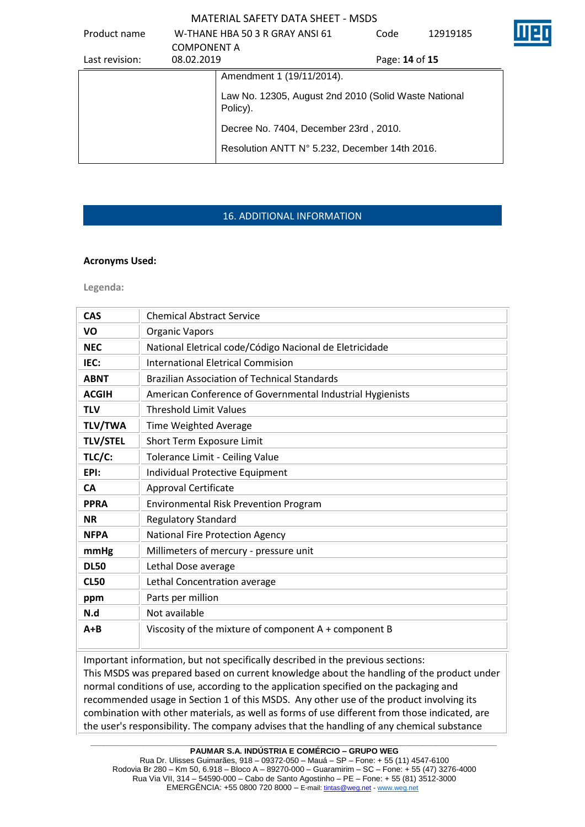| Product name   |                    | W-THANE HBA 50 3 R GRAY ANSI 61                                  | Code           | 12919185 |  |
|----------------|--------------------|------------------------------------------------------------------|----------------|----------|--|
|                | <b>COMPONENT A</b> |                                                                  |                |          |  |
| Last revision: | 08.02.2019         |                                                                  | Page: 14 of 15 |          |  |
|                |                    | Amendment 1 (19/11/2014).                                        |                |          |  |
|                |                    | Law No. 12305, August 2nd 2010 (Solid Waste National<br>Policy). |                |          |  |
|                |                    | Decree No. 7404, December 23rd, 2010.                            |                |          |  |
|                |                    | Resolution ANTT N° 5.232, December 14th 2016.                    |                |          |  |

# 16. ADDITIONAL INFORMATION

## **Acronyms Used:**

**Legenda:**

| <b>CAS</b>      | <b>Chemical Abstract Service</b>                          |
|-----------------|-----------------------------------------------------------|
| VO              | <b>Organic Vapors</b>                                     |
| <b>NEC</b>      | National Eletrical code/Código Nacional de Eletricidade   |
| IEC:            | <b>International Eletrical Commision</b>                  |
| <b>ABNT</b>     | <b>Brazilian Association of Technical Standards</b>       |
| <b>ACGIH</b>    | American Conference of Governmental Industrial Hygienists |
| <b>TLV</b>      | <b>Threshold Limit Values</b>                             |
| <b>TLV/TWA</b>  | Time Weighted Average                                     |
| <b>TLV/STEL</b> | Short Term Exposure Limit                                 |
| TLC/C:          | Tolerance Limit - Ceiling Value                           |
| EPI:            | Individual Protective Equipment                           |
| <b>CA</b>       | Approval Certificate                                      |
| <b>PPRA</b>     | <b>Environmental Risk Prevention Program</b>              |
| <b>NR</b>       | <b>Regulatory Standard</b>                                |
| <b>NFPA</b>     | National Fire Protection Agency                           |
| mmHg            | Millimeters of mercury - pressure unit                    |
| <b>DL50</b>     | Lethal Dose average                                       |
| <b>CL50</b>     | Lethal Concentration average                              |
| ppm             | Parts per million                                         |
| N.d             | Not available                                             |
| $A + B$         | Viscosity of the mixture of component A + component B     |

Important information, but not specifically described in the previous sections:

This MSDS was prepared based on current knowledge about the handling of the product under normal conditions of use, according to the application specified on the packaging and recommended usage in Section 1 of this MSDS. Any other use of the product involving its combination with other materials, as well as forms of use different from those indicated, are the user's responsibility. The company advises that the handling of any chemical substance

**\_\_\_\_\_\_\_\_\_\_\_\_\_\_\_\_\_\_\_\_\_\_\_\_\_\_\_\_\_\_\_\_\_\_\_\_\_\_\_\_\_\_\_\_\_\_\_\_\_\_\_\_\_\_\_\_\_\_\_\_\_\_\_\_\_\_\_\_\_\_\_\_\_\_\_\_\_\_\_\_\_\_\_\_\_\_\_\_\_\_\_\_\_ PAUMAR S.A. INDÚSTRIA E COMÉRCIO – GRUPO WEG**